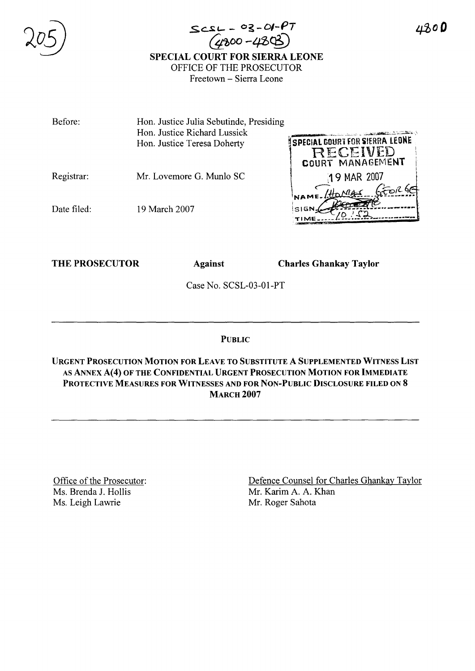

# $ScsL - 03-01-PT$  $Q$ poo -480<sup>2</sup> SPECIAL COURT FOR SIERRA LEONE OFFICE OF THE PROSECUTOR Freetown - Sierra Leone

Before: Hon. Justice Julia Sebutinde, Presiding Hon. Justice Richard Lussick<br>
Hon. Justice Teresa Doherty<br>
SPECIAL COURT FOR SIERRA LEONE Hon. Justice Teresa Doherty

Registrar: Mr. Lovemore G. Munlo SC **19 MAR 2007** 

Date filed:



THE PROSECUTOR Against Charles Ghankay Taylor

Case No. SCSL-03-01-PT

PUBLIC

URGENT PROSECUTION MOTION FOR LEAVE TO SUBSTITUTE A SUPPLEMENTED WITNESS LIST AS ANNEX A(4) OF THE CONFIDENTIAL URGENT PROSECUTION MOTION FOR IMMEDIATE PROTECTIVE MEASURES FOR WITNESSES AND FOR NON-PUBLIC DISCLOSURE FILED ON 8 **MARCH 2007** 

Office of the Prosecutor: Ms. Brenda J. Hollis Ms. Leigh Lawrie

Defence Counsel for Charles Ghankay Taylor Mr. Karim A. A. Khan Mr. Roger Sahota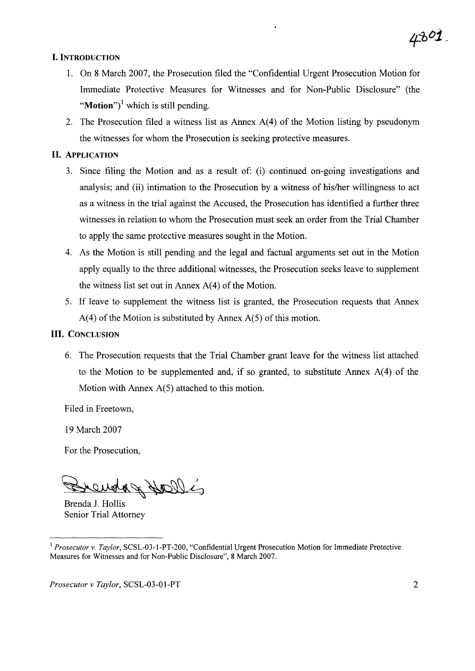#### **I. INTRODUCTION**

- 1. On 8 March 2007, the Prosecution filed the "Confidential Urgent Prosecution Motion for Immediate Protective Measures for Witnesses and for Non-Public Disclosure" (the "**Motion**")<sup>1</sup> which is still pending.
- 2. The Prosecution filed a witness list as Annex A(4) of the Motion listing by pseudonym the witnesses for whom the Prosecution is seeking protective measures.

#### **II. ApPLICATION**

- 3. Since filing the Motion and as a result of: (i) continued on-going investigations and analysis; and (ii) intimation to the Prosecution by a witness of hislher willingness to act as a witness in the trial against the Accused, the Prosecution has identified a further three witnesses in relation to whom the Prosecution must seek an order from the Trial Chamber to apply the same protective measures sought in the Motion.
- 4. As the Motion is still pending and the legal and factual arguments set out in the Motion apply equally to the three additional witnesses, the Prosecution seeks leave to supplement the witness list set out in Annex  $A(4)$  of the Motion.
- 5. If leave to supplement the witness list is granted, the Prosecution requests that Annex  $A(4)$  of the Motion is substituted by Annex  $A(5)$  of this motion.

### **III. CONCLUSION**

6. The Prosecution requests that the Trial Chamber grant leave for the witness list attached to the Motion to be supplemented and, if so granted, to substitute Annex A(4) of the Motion with Annex A(5) attached to this motion.

Filed in Freetown,

19 March 2007

For the Prosecution,

andag Hollis

Brenda 1. Hollis Senior Trial Attorney

*Prosecutor* v *Taylor,* SCSL-03-01-PT 2

<sup>&</sup>lt;sup>1</sup> Prosecutor v. Taylor, SCSL-03-1-PT-200, "Confidential Urgent Prosecution Motion for Immediate Protective Measures for Witnesses and for Non-Public Disclosure", 8 March 2007.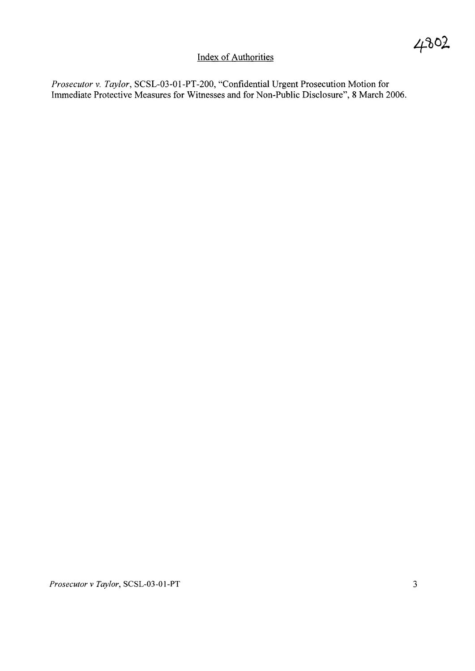### Index of Authorities

*Prosecutor v. Taylor*, SCSL-03-01-PT-200, "Confidential Urgent Prosecution Motion for Immediate Protective Measures for Witnesses and for Non-Public Disclosure", 8 March 2006.